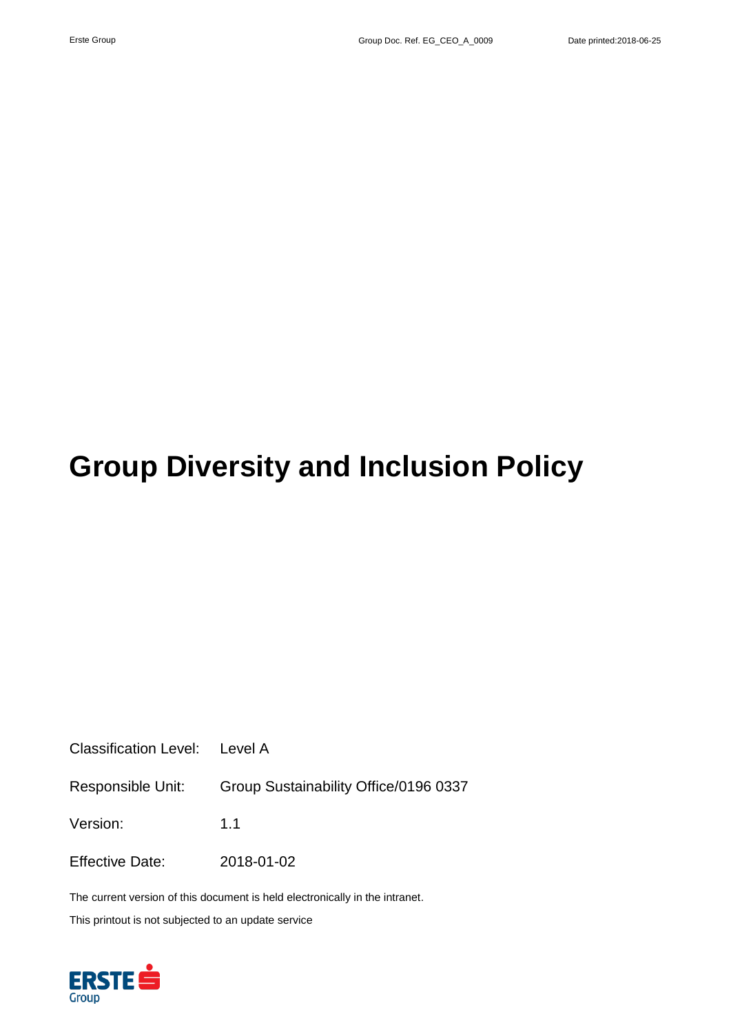# **Group Diversity and Inclusion Policy**

Classification Level: Level A

Responsible Unit: Group Sustainability Office/0196 0337

Version: 1.1

Effective Date: 2018-01-02

The current version of this document is held electronically in the intranet.

This printout is not subjected to an update service

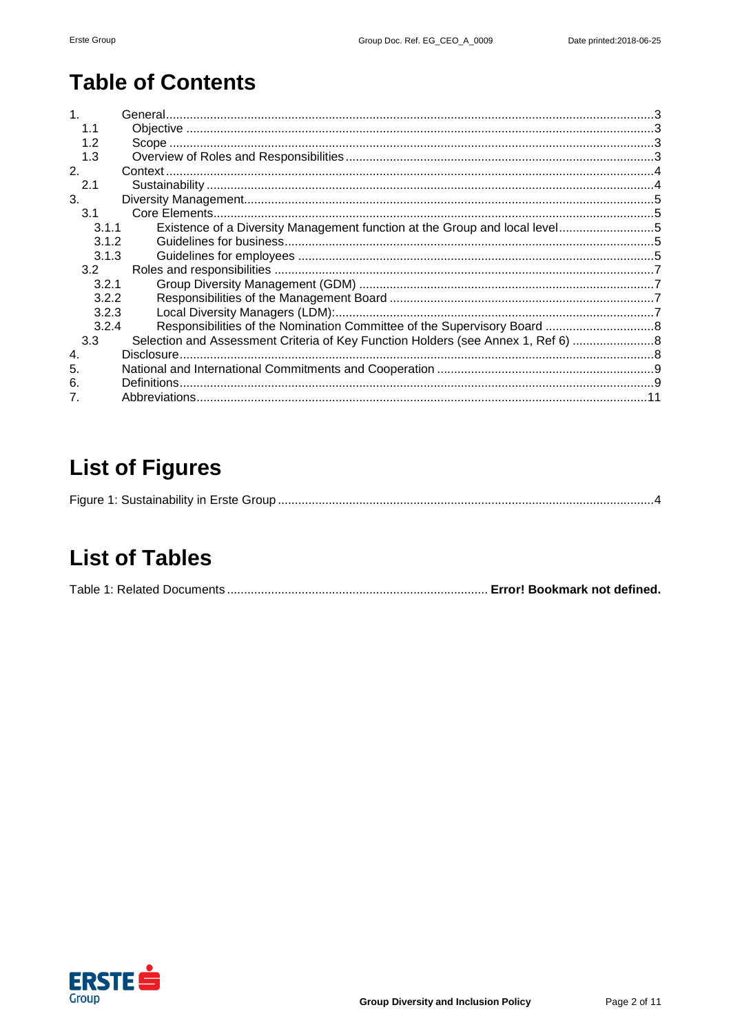# **Table of Contents**

| 1.1              |                                                                                |  |
|------------------|--------------------------------------------------------------------------------|--|
| 1.2              |                                                                                |  |
| 1.3              |                                                                                |  |
| 2.               |                                                                                |  |
| 2.1              |                                                                                |  |
| 3.               |                                                                                |  |
| 3.1              |                                                                                |  |
| 3.1.1            |                                                                                |  |
| 3.1.2            |                                                                                |  |
| 3.1.3            |                                                                                |  |
| 3.2              |                                                                                |  |
| 3.2.1            |                                                                                |  |
| 3.2.2            |                                                                                |  |
| 3.2.3            |                                                                                |  |
| 3.2.4            |                                                                                |  |
| 3.3              | Selection and Assessment Criteria of Key Function Holders (see Annex 1, Ref 6) |  |
| $\overline{4}$ . | Disclosure.                                                                    |  |
| 5.               |                                                                                |  |
| 6.               | Definitions.                                                                   |  |
|                  |                                                                                |  |

## **List of Figures**

|--|--|--|

## **List of Tables**

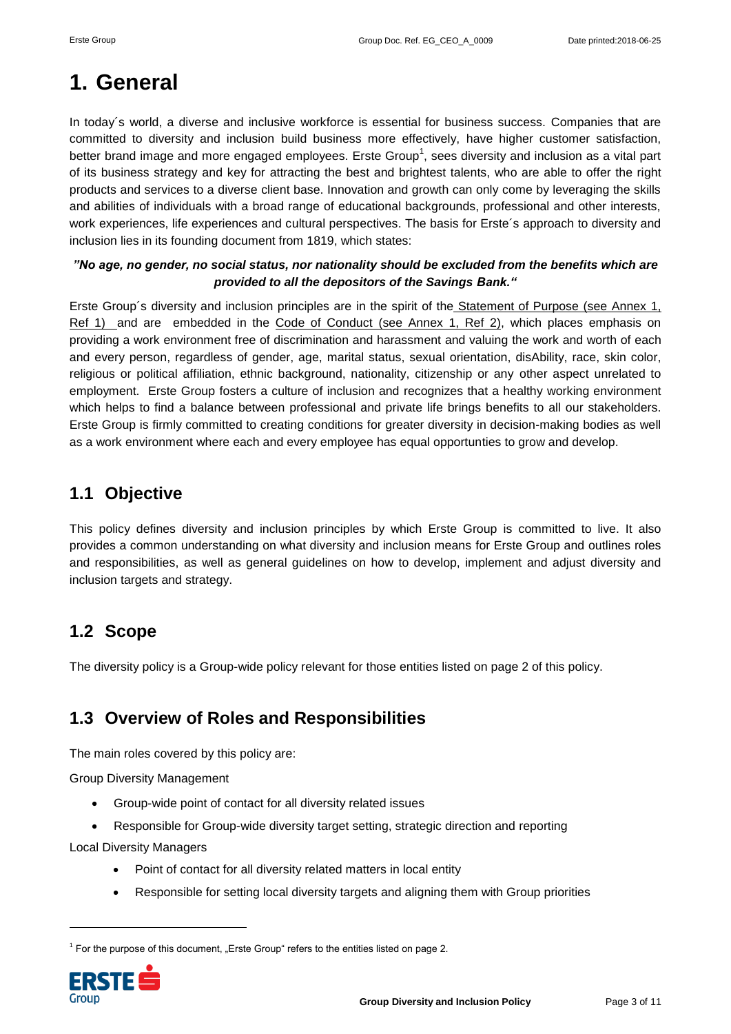## <span id="page-2-0"></span>**1. General**

In today's world, a diverse and inclusive workforce is essential for business success. Companies that are committed to diversity and inclusion build business more effectively, have higher customer satisfaction, better brand image and more engaged employees. Erste Group<sup>1</sup>, sees diversity and inclusion as a vital part of its business strategy and key for attracting the best and brightest talents, who are able to offer the right products and services to a diverse client base. Innovation and growth can only come by leveraging the skills and abilities of individuals with a broad range of educational backgrounds, professional and other interests, work experiences, life experiences and cultural perspectives. The basis for Erste´s approach to diversity and inclusion lies in its founding document from 1819, which states:

#### *"No age, no gender, no social status, nor nationality should be excluded from the benefits which are provided to all the depositors of the Savings Bank."*

Erste Group´s diversity and inclusion principles are in the spirit of the Statement of Purpose (see Annex 1, Ref 1) and are embedded in the Code of Conduct (see Annex 1, Ref 2), which places emphasis on providing a work environment free of discrimination and harassment and valuing the work and worth of each and every person, regardless of gender, age, marital status, sexual orientation, disAbility, race, skin color, religious or political affiliation, ethnic background, nationality, citizenship or any other aspect unrelated to employment. Erste Group fosters a culture of inclusion and recognizes that a healthy working environment which helps to find a balance between professional and private life brings benefits to all our stakeholders. Erste Group is firmly committed to creating conditions for greater diversity in decision-making bodies as well as a work environment where each and every employee has equal opportunties to grow and develop.

### <span id="page-2-1"></span>**1.1 Objective**

This policy defines diversity and inclusion principles by which Erste Group is committed to live. It also provides a common understanding on what diversity and inclusion means for Erste Group and outlines roles and responsibilities, as well as general guidelines on how to develop, implement and adjust diversity and inclusion targets and strategy.

### <span id="page-2-2"></span>**1.2 Scope**

The diversity policy is a Group-wide policy relevant for those entities listed on page 2 of this policy.

### <span id="page-2-3"></span>**1.3 Overview of Roles and Responsibilities**

The main roles covered by this policy are:

Group Diversity Management

- Group-wide point of contact for all diversity related issues
- Responsible for Group-wide diversity target setting, strategic direction and reporting

Local Diversity Managers

- Point of contact for all diversity related matters in local entity
- Responsible for setting local diversity targets and aligning them with Group priorities

 $1$  For the purpose of this document, "Erste Group" refers to the entities listed on page 2.



1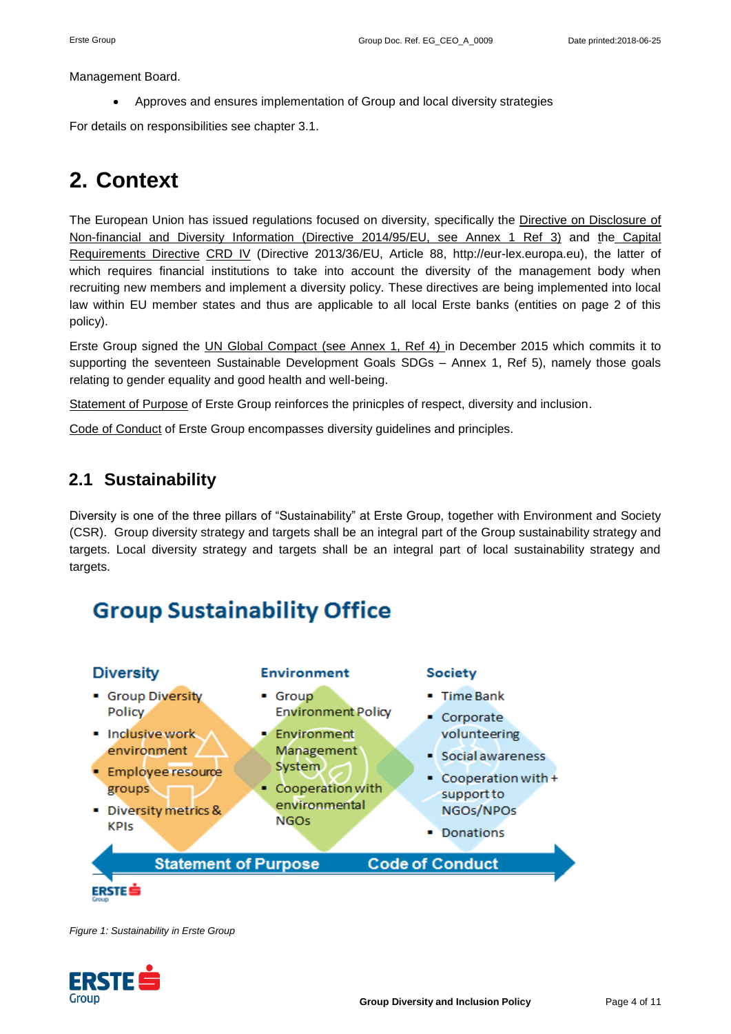Management Board.

Approves and ensures implementation of Group and local diversity strategies

For details on responsibilities see chapter 3.1.

## <span id="page-3-0"></span>**2. Context**

The European Union has issued regulations focused on diversity, specifically the Directive on Disclosure of Non-financial and Diversity Information (Directive 2014/95/EU, see Annex 1 Ref 3) and the Capital Requirements Directive CRD IV (Directive 2013/36/EU, Article 88, http://eur-lex.europa.eu), the latter of which requires financial institutions to take into account the diversity of the management body when recruiting new members and implement a diversity policy. These directives are being implemented into local law within EU member states and thus are applicable to all local Erste banks (entities on page 2 of this policy).

Erste Group signed the UN Global Compact (see Annex 1, Ref 4) in December 2015 which commits it to supporting the seventeen Sustainable Development Goals SDGs – Annex 1, Ref 5), namely those goals relating to gender equality and good health and well-being.

Statement of Purpose of Erste Group reinforces the prinicples of respect, diversity and inclusion.

Code of Conduct of Erste Group encompasses diversity guidelines and principles.

### <span id="page-3-1"></span>**2.1 Sustainability**

Diversity is one of the three pillars of "Sustainability" at Erste Group, together with Environment and Society (CSR). Group diversity strategy and targets shall be an integral part of the Group sustainability strategy and targets. Local diversity strategy and targets shall be an integral part of local sustainability strategy and targets.

## **Group Sustainability Office**



<span id="page-3-2"></span>*Figure 1: Sustainability in Erste Group*

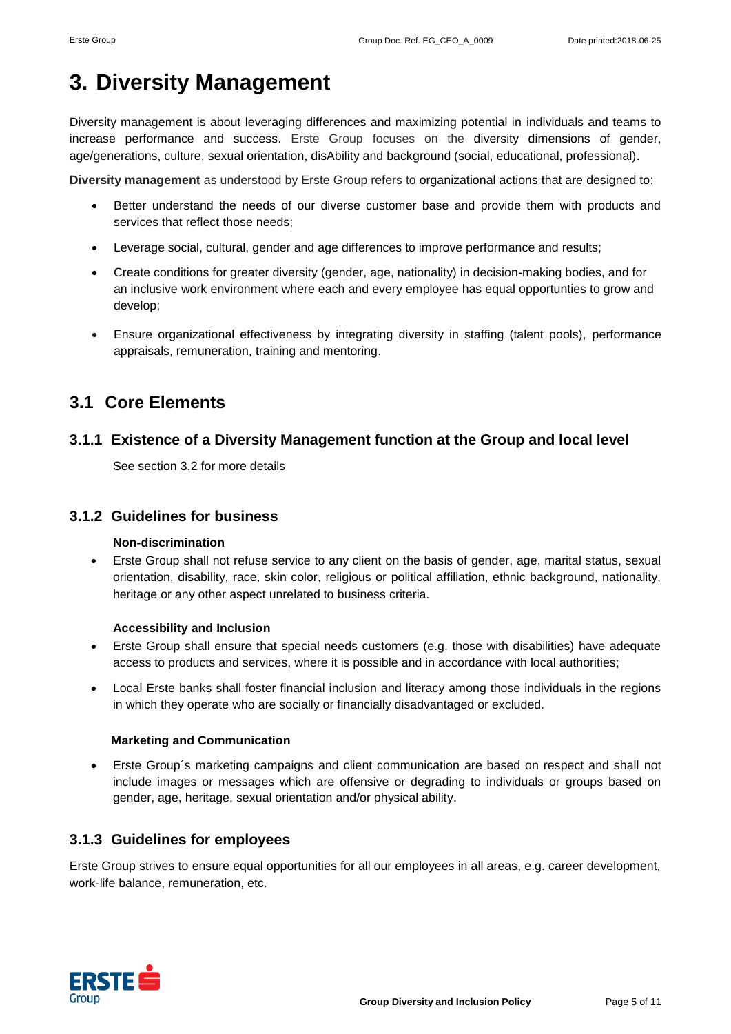## <span id="page-4-0"></span>**3. Diversity Management**

Diversity management is about leveraging differences and maximizing potential in individuals and teams to increase performance and success. Erste Group focuses on the diversity dimensions of gender, age/generations, culture, sexual orientation, disAbility and background (social, educational, professional).

**Diversity management** as understood by Erste Group refers to organizational actions that are designed to:

- Better understand the needs of our diverse customer base and provide them with products and services that reflect those needs;
- Leverage social, cultural, gender and age differences to improve performance and results;
- Create conditions for greater diversity (gender, age, nationality) in decision-making bodies, and for an inclusive work environment where each and every employee has equal opportunties to grow and develop;
- Ensure organizational effectiveness by integrating diversity in staffing (talent pools), performance appraisals, remuneration, training and mentoring.

### <span id="page-4-1"></span>**3.1 Core Elements**

#### <span id="page-4-2"></span>**3.1.1 Existence of a Diversity Management function at the Group and local level**

See section 3.2 for more details

#### <span id="page-4-3"></span>**3.1.2 Guidelines for business**

#### **Non-discrimination**

 Erste Group shall not refuse service to any client on the basis of gender, age, marital status, sexual orientation, disability, race, skin color, religious or political affiliation, ethnic background, nationality, heritage or any other aspect unrelated to business criteria.

#### **Accessibility and Inclusion**

- Erste Group shall ensure that special needs customers (e.g. those with disabilities) have adequate access to products and services, where it is possible and in accordance with local authorities;
- Local Erste banks shall foster financial inclusion and literacy among those individuals in the regions in which they operate who are socially or financially disadvantaged or excluded.

#### **Marketing and Communication**

 Erste Group´s marketing campaigns and client communication are based on respect and shall not include images or messages which are offensive or degrading to individuals or groups based on gender, age, heritage, sexual orientation and/or physical ability.

#### <span id="page-4-4"></span>**3.1.3 Guidelines for employees**

Erste Group strives to ensure equal opportunities for all our employees in all areas, e.g. career development, work-life balance, remuneration, etc.

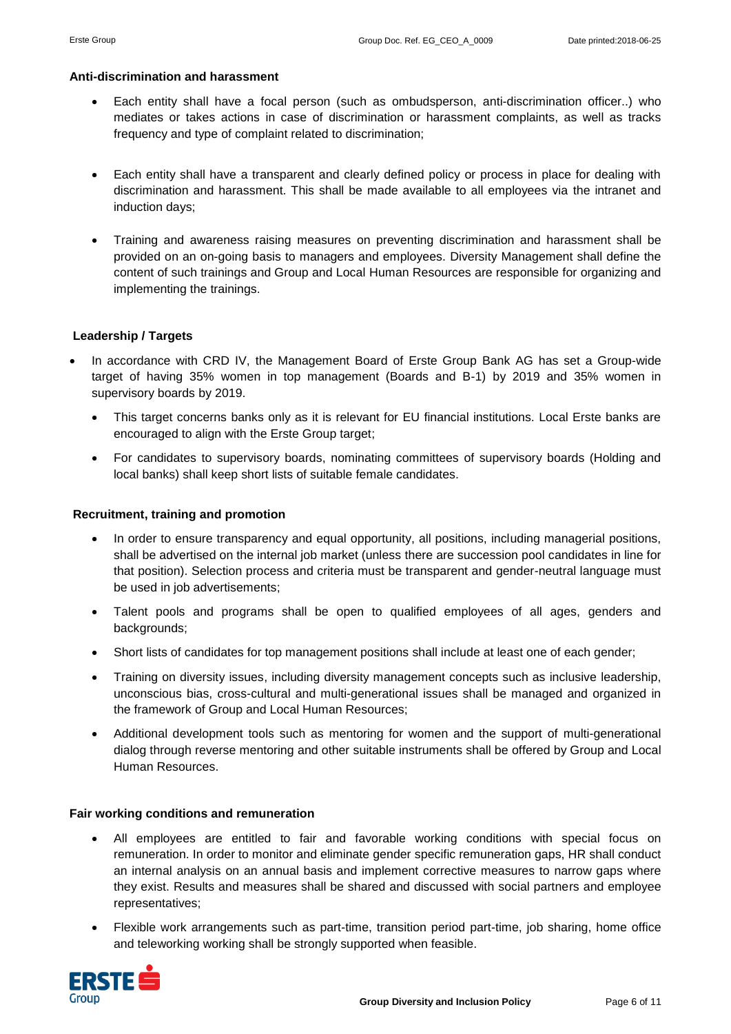#### **Anti-discrimination and harassment**

- Each entity shall have a focal person (such as ombudsperson, anti-discrimination officer..) who mediates or takes actions in case of discrimination or harassment complaints, as well as tracks frequency and type of complaint related to discrimination;
- Each entity shall have a transparent and clearly defined policy or process in place for dealing with discrimination and harassment. This shall be made available to all employees via the intranet and induction days;
- Training and awareness raising measures on preventing discrimination and harassment shall be provided on an on-going basis to managers and employees. Diversity Management shall define the content of such trainings and Group and Local Human Resources are responsible for organizing and implementing the trainings.

#### **Leadership / Targets**

- In accordance with CRD IV, the Management Board of Erste Group Bank AG has set a Group-wide target of having 35% women in top management (Boards and B-1) by 2019 and 35% women in supervisory boards by 2019.
	- This target concerns banks only as it is relevant for EU financial institutions. Local Erste banks are encouraged to align with the Erste Group target;
	- For candidates to supervisory boards, nominating committees of supervisory boards (Holding and local banks) shall keep short lists of suitable female candidates.

#### **Recruitment, training and promotion**

- In order to ensure transparency and equal opportunity, all positions, including managerial positions, shall be advertised on the internal job market (unless there are succession pool candidates in line for that position). Selection process and criteria must be transparent and gender-neutral language must be used in job advertisements;
- Talent pools and programs shall be open to qualified employees of all ages, genders and backgrounds;
- Short lists of candidates for top management positions shall include at least one of each gender;
- Training on diversity issues, including diversity management concepts such as inclusive leadership, unconscious bias, cross-cultural and multi-generational issues shall be managed and organized in the framework of Group and Local Human Resources;
- Additional development tools such as mentoring for women and the support of multi-generational dialog through reverse mentoring and other suitable instruments shall be offered by Group and Local Human Resources.

#### **Fair working conditions and remuneration**

- All employees are entitled to fair and favorable working conditions with special focus on remuneration. In order to monitor and eliminate gender specific remuneration gaps, HR shall conduct an internal analysis on an annual basis and implement corrective measures to narrow gaps where they exist. Results and measures shall be shared and discussed with social partners and employee representatives;
- Flexible work arrangements such as part-time, transition period part-time, job sharing, home office and teleworking working shall be strongly supported when feasible.

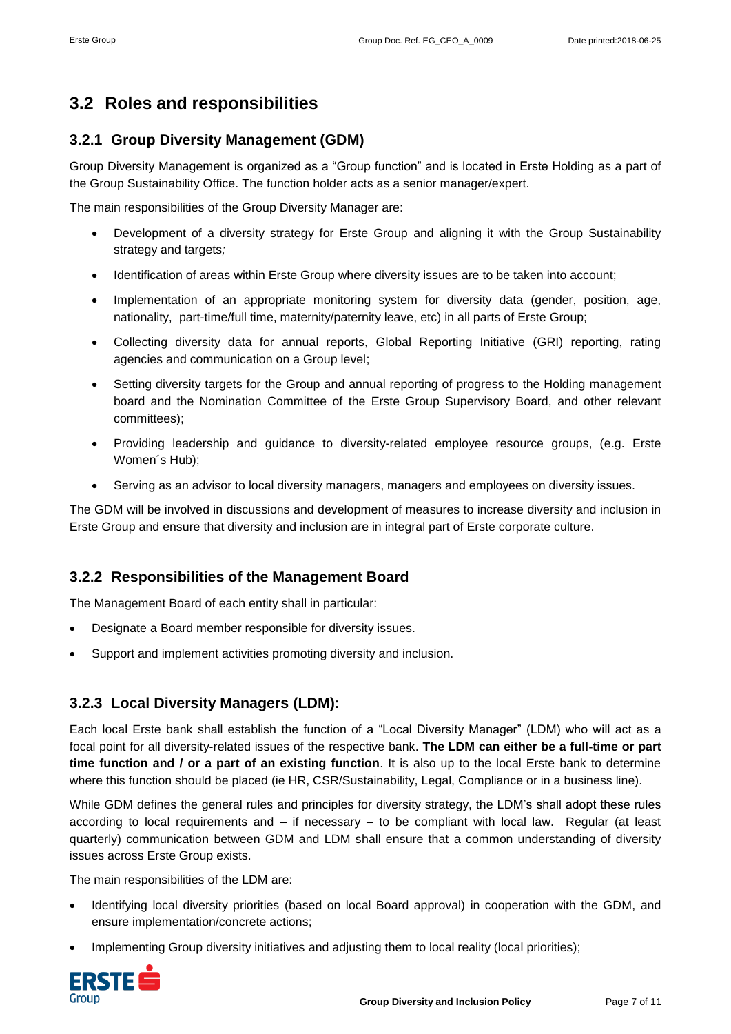### <span id="page-6-0"></span>**3.2 Roles and responsibilities**

#### <span id="page-6-1"></span>**3.2.1 Group Diversity Management (GDM)**

Group Diversity Management is organized as a "Group function" and is located in Erste Holding as a part of the Group Sustainability Office. The function holder acts as a senior manager/expert.

The main responsibilities of the Group Diversity Manager are:

- Development of a diversity strategy for Erste Group and aligning it with the Group Sustainability strategy and targets*;*
- Identification of areas within Erste Group where diversity issues are to be taken into account;
- Implementation of an appropriate monitoring system for diversity data (gender, position, age, nationality, part-time/full time, maternity/paternity leave, etc) in all parts of Erste Group;
- Collecting diversity data for annual reports, Global Reporting Initiative (GRI) reporting, rating agencies and communication on a Group level;
- Setting diversity targets for the Group and annual reporting of progress to the Holding management board and the Nomination Committee of the Erste Group Supervisory Board, and other relevant committees);
- Providing leadership and guidance to diversity-related employee resource groups, (e.g. Erste Women´s Hub);
- Serving as an advisor to local diversity managers, managers and employees on diversity issues.

The GDM will be involved in discussions and development of measures to increase diversity and inclusion in Erste Group and ensure that diversity and inclusion are in integral part of Erste corporate culture.

#### <span id="page-6-2"></span>**3.2.2 Responsibilities of the Management Board**

The Management Board of each entity shall in particular:

- Designate a Board member responsible for diversity issues.
- Support and implement activities promoting diversity and inclusion.

#### <span id="page-6-3"></span>**3.2.3 Local Diversity Managers (LDM):**

Each local Erste bank shall establish the function of a "Local Diversity Manager" (LDM) who will act as a focal point for all diversity-related issues of the respective bank. **The LDM can either be a full-time or part time function and / or a part of an existing function**. It is also up to the local Erste bank to determine where this function should be placed (ie HR, CSR/Sustainability, Legal, Compliance or in a business line).

While GDM defines the general rules and principles for diversity strategy, the LDM's shall adopt these rules according to local requirements and – if necessary – to be compliant with local law. Regular (at least quarterly) communication between GDM and LDM shall ensure that a common understanding of diversity issues across Erste Group exists.

The main responsibilities of the LDM are:

- Identifying local diversity priorities (based on local Board approval) in cooperation with the GDM, and ensure implementation/concrete actions;
- Implementing Group diversity initiatives and adjusting them to local reality (local priorities);

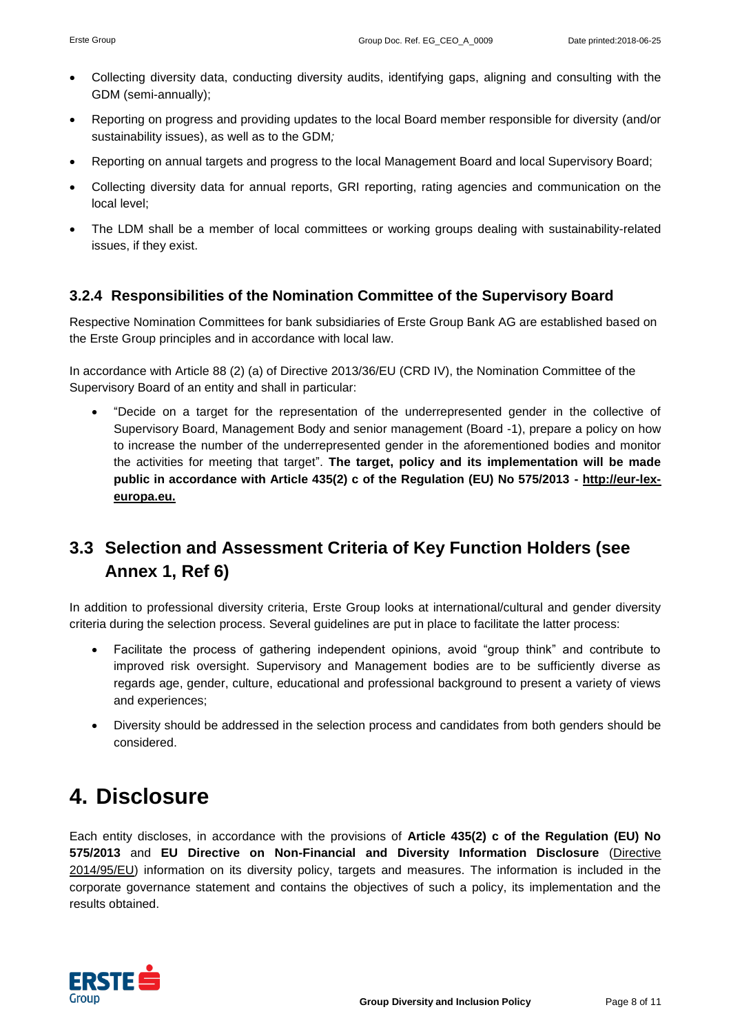- Collecting diversity data, conducting diversity audits, identifying gaps, aligning and consulting with the GDM (semi-annually);
- Reporting on progress and providing updates to the local Board member responsible for diversity (and/or sustainability issues), as well as to the GDM*;*
- Reporting on annual targets and progress to the local Management Board and local Supervisory Board;
- Collecting diversity data for annual reports, GRI reporting, rating agencies and communication on the local level;
- The LDM shall be a member of local committees or working groups dealing with sustainability-related issues, if they exist.

#### <span id="page-7-0"></span>**3.2.4 Responsibilities of the Nomination Committee of the Supervisory Board**

Respective Nomination Committees for bank subsidiaries of Erste Group Bank AG are established based on the Erste Group principles and in accordance with local law.

In accordance with Article 88 (2) (a) of Directive 2013/36/EU (CRD IV), the Nomination Committee of the Supervisory Board of an entity and shall in particular:

 "Decide on a target for the representation of the underrepresented gender in the collective of Supervisory Board, Management Body and senior management (Board -1), prepare a policy on how to increase the number of the underrepresented gender in the aforementioned bodies and monitor the activities for meeting that target". **The target, policy and its implementation will be made public in accordance with Article 435(2) c of the Regulation (EU) No 575/2013 - [http://eur-lex](http://eur-lex-europa.eu/)[europa.eu.](http://eur-lex-europa.eu/)**

### <span id="page-7-1"></span>**3.3 Selection and Assessment Criteria of Key Function Holders (see Annex 1, Ref 6)**

In addition to professional diversity criteria, Erste Group looks at international/cultural and gender diversity criteria during the selection process. Several guidelines are put in place to facilitate the latter process:

- Facilitate the process of gathering independent opinions, avoid "group think" and contribute to improved risk oversight. Supervisory and Management bodies are to be sufficiently diverse as regards age, gender, culture, educational and professional background to present a variety of views and experiences;
- Diversity should be addressed in the selection process and candidates from both genders should be considered.

### <span id="page-7-2"></span>**4. Disclosure**

Each entity discloses, in accordance with the provisions of **Article 435(2) c of the Regulation (EU) No 575/2013** and **EU Directive on Non-Financial and Diversity Information Disclosure** (Directive 2014/95/EU) information on its diversity policy, targets and measures. The information is included in the corporate governance statement and contains the objectives of such a policy, its implementation and the results obtained.

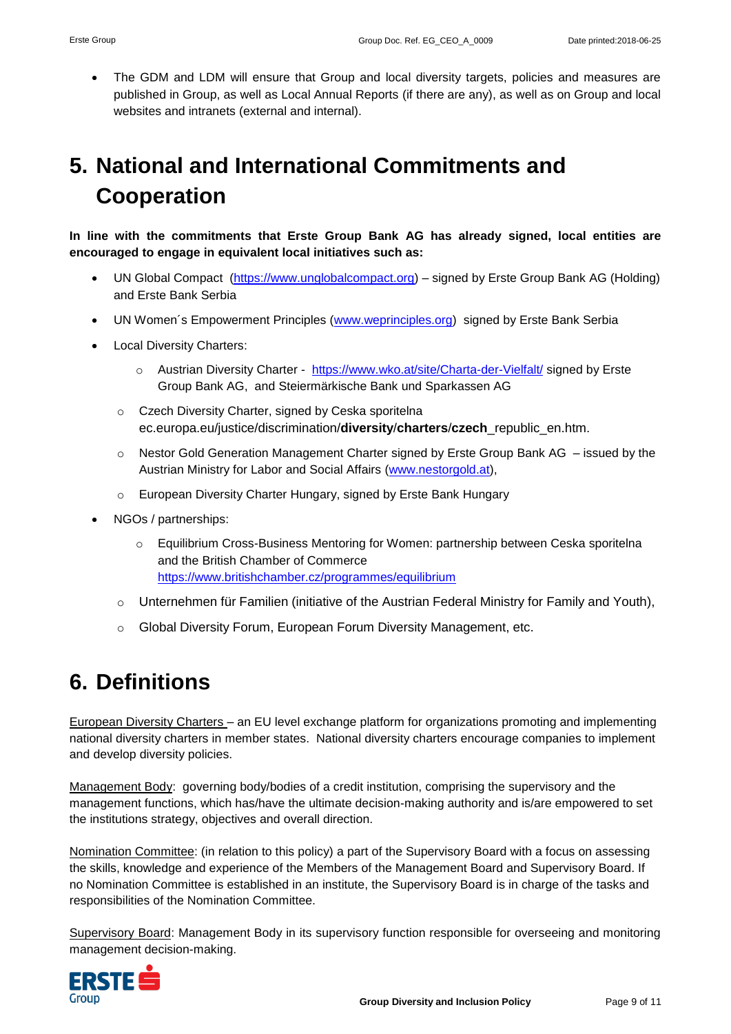The GDM and LDM will ensure that Group and local diversity targets, policies and measures are published in Group, as well as Local Annual Reports (if there are any), as well as on Group and local websites and intranets (external and internal).

## <span id="page-8-0"></span>**5. National and International Commitments and Cooperation**

**In line with the commitments that Erste Group Bank AG has already signed, local entities are encouraged to engage in equivalent local initiatives such as:** 

- UN Global Compact [\(https://www.unglobalcompact.org\)](https://www.unglobalcompact.org/) signed by Erste Group Bank AG (Holding) and Erste Bank Serbia
- UN Women´s Empowerment Principles [\(www.weprinciples.org\)](http://www.weprinciples.org/) signed by Erste Bank Serbia
- Local Diversity Charters:
	- o Austrian Diversity Charter <https://www.wko.at/site/Charta-der-Vielfalt/> signed by Erste Group Bank AG, and Steiermärkische Bank und Sparkassen AG
	- o Czech Diversity Charter, signed by Ceska sporitelna ec.europa.eu/justice/discrimination/**diversity**/**charters**/**czech**\_republic\_en.htm.
	- o Nestor Gold Generation Management Charter signed by Erste Group Bank AG issued by the Austrian Ministry for Labor and Social Affairs [\(www.nestorgold.at\)](http://www.nestorgold.at/),
	- o European Diversity Charter Hungary, signed by Erste Bank Hungary
- NGOs / partnerships:
	- o Equilibrium Cross-Business Mentoring for Women: partnership between Ceska sporitelna and the British Chamber of Commerce <https://www.britishchamber.cz/programmes/equilibrium>
	- $\circ$  Unternehmen für Familien (initiative of the Austrian Federal Ministry for Family and Youth),
	- $\circ$  Global Diversity Forum, European Forum Diversity Management, etc.

### <span id="page-8-1"></span>**6. Definitions**

European Diversity Charters – an EU level exchange platform for organizations promoting and implementing national diversity charters in member states. National diversity charters encourage companies to implement and develop diversity policies.

Management Body: governing body/bodies of a credit institution, comprising the supervisory and the management functions, which has/have the ultimate decision-making authority and is/are empowered to set the institutions strategy, objectives and overall direction.

Nomination Committee: (in relation to this policy) a part of the Supervisory Board with a focus on assessing the skills, knowledge and experience of the Members of the Management Board and Supervisory Board. If no Nomination Committee is established in an institute, the Supervisory Board is in charge of the tasks and responsibilities of the Nomination Committee.

Supervisory Board: Management Body in its supervisory function responsible for overseeing and monitoring management decision-making.

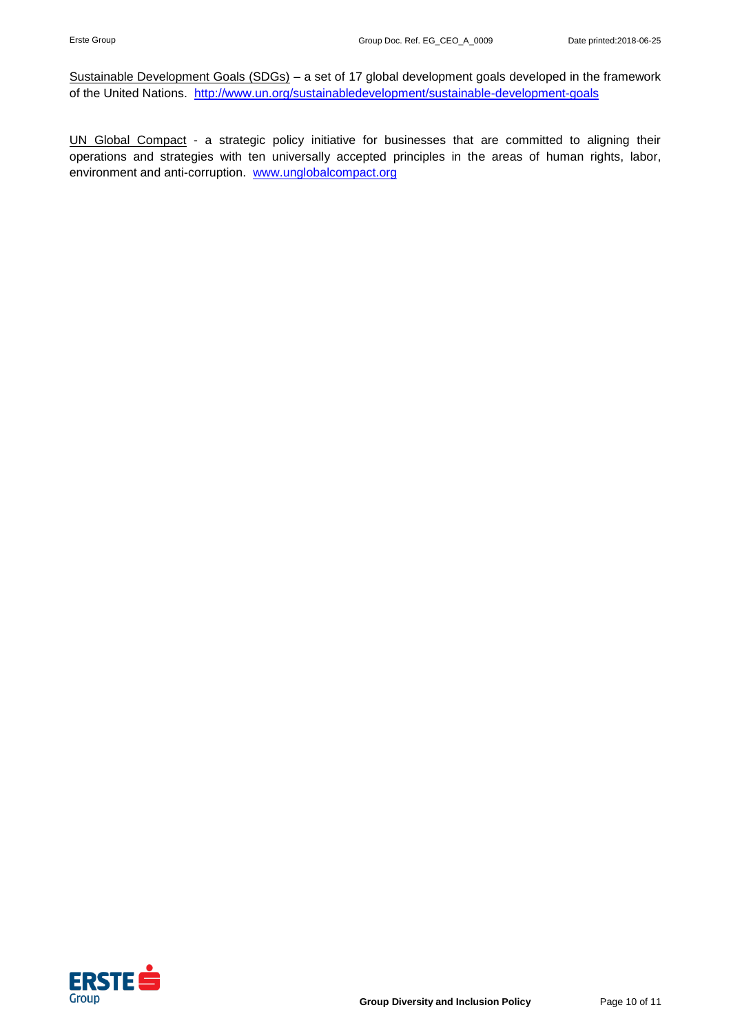Sustainable Development Goals (SDGs) - a set of 17 global development goals developed in the framework of the United Nations. <http://www.un.org/sustainabledevelopment/sustainable-development-goals>

UN Global Compact - a strategic policy initiative for businesses that are committed to aligning their operations and strategies with ten universally accepted principles in the areas of human rights, labor, environment and anti-corruption. [www.unglobalcompact.org](http://www.unglobalcompact.org/)